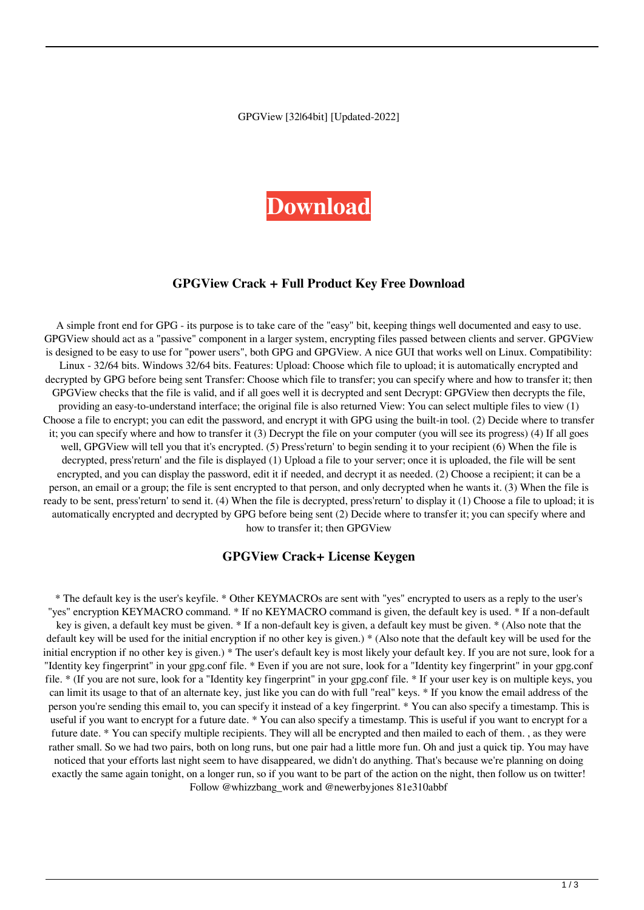GPGView [32|64bit] [Updated-2022]

# **[Download](http://evacdir.com/ZG93bmxvYWR8dU45TkhvNWIzeDhNVFkxTkRRek5qWTFPSHg4TWpVNU1IeDhLRTBwSUZkdmNtUndjbVZ6Y3lCYldFMU1VbEJESUZZeUlGQkVSbDA/reassured/anaconda/R1BHVmlldwR1B/protest/marpissa.outbursts?ripe/sincerity)**

#### **GPGView Crack + Full Product Key Free Download**

A simple front end for GPG - its purpose is to take care of the "easy" bit, keeping things well documented and easy to use. GPGView should act as a "passive" component in a larger system, encrypting files passed between clients and server. GPGView is designed to be easy to use for "power users", both GPG and GPGView. A nice GUI that works well on Linux. Compatibility: Linux - 32/64 bits. Windows 32/64 bits. Features: Upload: Choose which file to upload; it is automatically encrypted and decrypted by GPG before being sent Transfer: Choose which file to transfer; you can specify where and how to transfer it; then GPGView checks that the file is valid, and if all goes well it is decrypted and sent Decrypt: GPGView then decrypts the file, providing an easy-to-understand interface; the original file is also returned View: You can select multiple files to view (1) Choose a file to encrypt; you can edit the password, and encrypt it with GPG using the built-in tool. (2) Decide where to transfer it; you can specify where and how to transfer it (3) Decrypt the file on your computer (you will see its progress) (4) If all goes well, GPGView will tell you that it's encrypted. (5) Press'return' to begin sending it to your recipient (6) When the file is decrypted, press'return' and the file is displayed (1) Upload a file to your server; once it is uploaded, the file will be sent encrypted, and you can display the password, edit it if needed, and decrypt it as needed. (2) Choose a recipient; it can be a person, an email or a group; the file is sent encrypted to that person, and only decrypted when he wants it. (3) When the file is ready to be sent, press'return' to send it. (4) When the file is decrypted, press'return' to display it (1) Choose a file to upload; it is automatically encrypted and decrypted by GPG before being sent (2) Decide where to transfer it; you can specify where and how to transfer it; then GPGView

#### **GPGView Crack+ License Keygen**

\* The default key is the user's keyfile. \* Other KEYMACROs are sent with "yes" encrypted to users as a reply to the user's "yes" encryption KEYMACRO command. \* If no KEYMACRO command is given, the default key is used. \* If a non-default key is given, a default key must be given. \* If a non-default key is given, a default key must be given. \* (Also note that the default key will be used for the initial encryption if no other key is given.) \* (Also note that the default key will be used for the initial encryption if no other key is given.) \* The user's default key is most likely your default key. If you are not sure, look for a "Identity key fingerprint" in your gpg.conf file. \* Even if you are not sure, look for a "Identity key fingerprint" in your gpg.conf file. \* (If you are not sure, look for a "Identity key fingerprint" in your gpg.conf file. \* If your user key is on multiple keys, you can limit its usage to that of an alternate key, just like you can do with full "real" keys. \* If you know the email address of the person you're sending this email to, you can specify it instead of a key fingerprint. \* You can also specify a timestamp. This is useful if you want to encrypt for a future date. \* You can also specify a timestamp. This is useful if you want to encrypt for a future date. \* You can specify multiple recipients. They will all be encrypted and then mailed to each of them. , as they were rather small. So we had two pairs, both on long runs, but one pair had a little more fun. Oh and just a quick tip. You may have noticed that your efforts last night seem to have disappeared, we didn't do anything. That's because we're planning on doing exactly the same again tonight, on a longer run, so if you want to be part of the action on the night, then follow us on twitter! Follow @whizzbang\_work and @newerbyjones 81e310abbf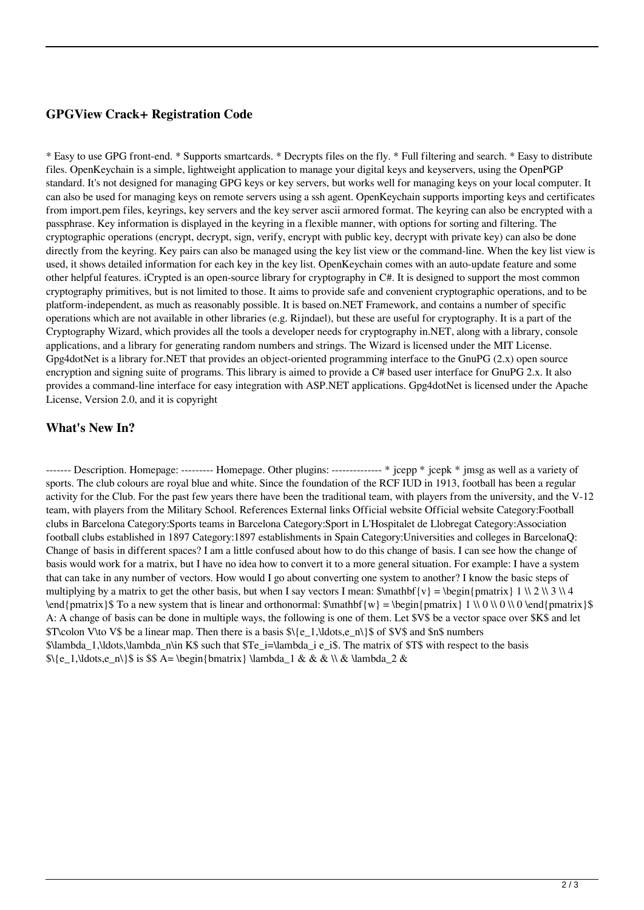#### **GPGView Crack+ Registration Code**

\* Easy to use GPG front-end. \* Supports smartcards. \* Decrypts files on the fly. \* Full filtering and search. \* Easy to distribute files. OpenKeychain is a simple, lightweight application to manage your digital keys and keyservers, using the OpenPGP standard. It's not designed for managing GPG keys or key servers, but works well for managing keys on your local computer. It can also be used for managing keys on remote servers using a ssh agent. OpenKeychain supports importing keys and certificates from import.pem files, keyrings, key servers and the key server ascii armored format. The keyring can also be encrypted with a passphrase. Key information is displayed in the keyring in a flexible manner, with options for sorting and filtering. The cryptographic operations (encrypt, decrypt, sign, verify, encrypt with public key, decrypt with private key) can also be done directly from the keyring. Key pairs can also be managed using the key list view or the command-line. When the key list view is used, it shows detailed information for each key in the key list. OpenKeychain comes with an auto-update feature and some other helpful features. iCrypted is an open-source library for cryptography in C#. It is designed to support the most common cryptography primitives, but is not limited to those. It aims to provide safe and convenient cryptographic operations, and to be platform-independent, as much as reasonably possible. It is based on.NET Framework, and contains a number of specific operations which are not available in other libraries (e.g. Rijndael), but these are useful for cryptography. It is a part of the Cryptography Wizard, which provides all the tools a developer needs for cryptography in.NET, along with a library, console applications, and a library for generating random numbers and strings. The Wizard is licensed under the MIT License. Gpg4dotNet is a library for.NET that provides an object-oriented programming interface to the GnuPG (2.x) open source encryption and signing suite of programs. This library is aimed to provide a C# based user interface for GnuPG 2.x. It also provides a command-line interface for easy integration with ASP.NET applications. Gpg4dotNet is licensed under the Apache License, Version 2.0, and it is copyright

### **What's New In?**

------- Description. Homepage: --------- Homepage. Other plugins: -------------- \* jcepp \* jcepk \* jmsg as well as a variety of sports. The club colours are royal blue and white. Since the foundation of the RCF IUD in 1913, football has been a regular activity for the Club. For the past few years there have been the traditional team, with players from the university, and the V-12 team, with players from the Military School. References External links Official website Official website Category:Football clubs in Barcelona Category:Sports teams in Barcelona Category:Sport in L'Hospitalet de Llobregat Category:Association football clubs established in 1897 Category:1897 establishments in Spain Category:Universities and colleges in BarcelonaQ: Change of basis in different spaces? I am a little confused about how to do this change of basis. I can see how the change of basis would work for a matrix, but I have no idea how to convert it to a more general situation. For example: I have a system that can take in any number of vectors. How would I go about converting one system to another? I know the basic steps of multiplying by a matrix to get the other basis, but when I say vectors I mean:  $\mathbb{S}$  mathbf{v} = \begin{pmatrix} 1 \\ 2 \\ 3 \\ 4 \end{pmatrix}\$ To a new system that is linear and orthonormal:  $\mathbf{w} = \begin{cases} pmatrix \ 1 \ \ 0 \ \ 0 \ \ 0 \ \ 0 \end{cases}$  \end{pmatrix}\$ A: A change of basis can be done in multiple ways, the following is one of them. Let \$V\$ be a vector space over \$K\$ and let \$T\colon V\to V\$ be a linear map. Then there is a basis  $\{\e_1,\ldots,\e_n\}$  of \$V\$ and \$n\$ numbers  $\Lambda$ lambda 1,\ldots,\lambda\_n\in K\$ such that \$Te\_i=\lambda\_i e\_i\$. The matrix of \$T\$ with respect to the basis  $\{8\}$  is  $\{8\}$  A= \begin{bmatrix} \lambda 1 & & \\ & \lambda 2 &